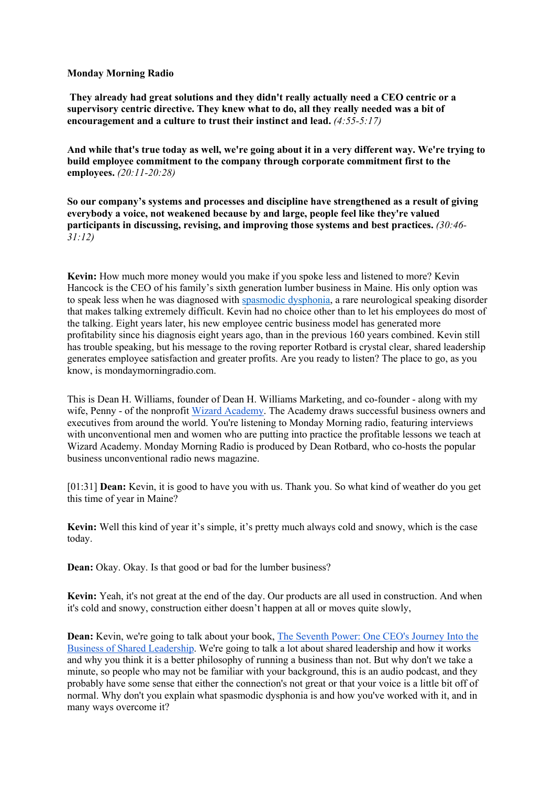## **Monday Morning Radio**

**They already had great solutions and they didn't really actually need a CEO centric or a supervisory centric directive. They knew what to do, all they really needed was a bit of encouragement and a culture to trust their instinct and lead.** *(4:55-5:17)*

**And while that's true today as well, we're going about it in a very different way. We're trying to build employee commitment to the company through corporate commitment first to the employees.** *(20:11-20:28)*

**So our company's systems and processes and discipline have strengthened as a result of giving everybody a voice, not weakened because by and large, people feel like they're valued participants in discussing, revising, and improving those systems and best practices.** *(30:46- 31:12)*

**Kevin:** How much more money would you make if you spoke less and listened to more? Kevin Hancock is the CEO of his family's sixth generation lumber business in Maine. His only option was to speak less when he was diagnosed with spasmodic dysphonia, a rare neurological speaking disorder that makes talking extremely difficult. Kevin had no choice other than to let his employees do most of the talking. Eight years later, his new employee centric business model has generated more profitability since his diagnosis eight years ago, than in the previous 160 years combined. Kevin still has trouble speaking, but his message to the roving reporter Rotbard is crystal clear, shared leadership generates employee satisfaction and greater profits. Are you ready to listen? The place to go, as you know, is mondaymorningradio.com.

This is Dean H. Williams, founder of Dean H. Williams Marketing, and co-founder - along with my wife, Penny - of the nonprofit Wizard Academy. The Academy draws successful business owners and executives from around the world. You're listening to Monday Morning radio, featuring interviews with unconventional men and women who are putting into practice the profitable lessons we teach at Wizard Academy. Monday Morning Radio is produced by Dean Rotbard, who co-hosts the popular business unconventional radio news magazine.

[01:31] **Dean:** Kevin, it is good to have you with us. Thank you. So what kind of weather do you get this time of year in Maine?

**Kevin:** Well this kind of year it's simple, it's pretty much always cold and snowy, which is the case today.

**Dean:** Okay. Okay. Is that good or bad for the lumber business?

**Kevin:** Yeah, it's not great at the end of the day. Our products are all used in construction. And when it's cold and snowy, construction either doesn't happen at all or moves quite slowly,

**Dean:** Kevin, we're going to talk about your book, The Seventh Power: One CEO's Journey Into the Business of Shared Leadership. We're going to talk a lot about shared leadership and how it works and why you think it is a better philosophy of running a business than not. But why don't we take a minute, so people who may not be familiar with your background, this is an audio podcast, and they probably have some sense that either the connection's not great or that your voice is a little bit off of normal. Why don't you explain what spasmodic dysphonia is and how you've worked with it, and in many ways overcome it?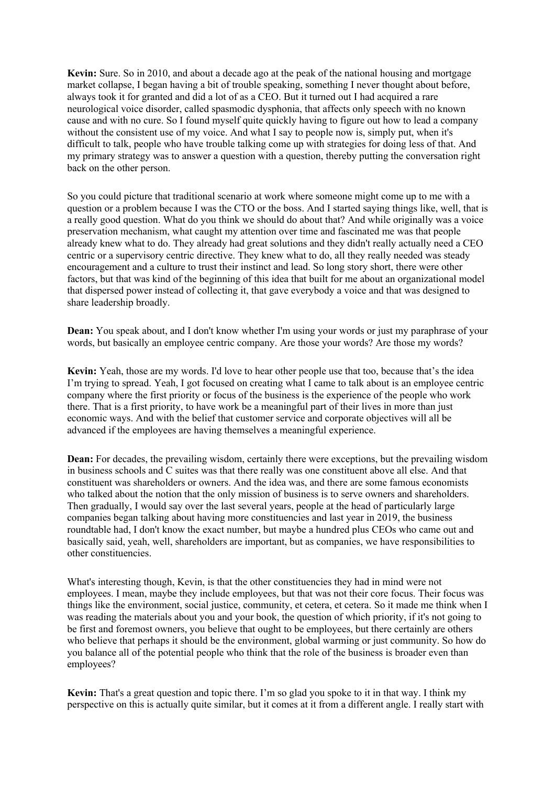**Kevin:** Sure. So in 2010, and about a decade ago at the peak of the national housing and mortgage market collapse, I began having a bit of trouble speaking, something I never thought about before, always took it for granted and did a lot of as a CEO. But it turned out I had acquired a rare neurological voice disorder, called spasmodic dysphonia, that affects only speech with no known cause and with no cure. So I found myself quite quickly having to figure out how to lead a company without the consistent use of my voice. And what I say to people now is, simply put, when it's difficult to talk, people who have trouble talking come up with strategies for doing less of that. And my primary strategy was to answer a question with a question, thereby putting the conversation right back on the other person.

So you could picture that traditional scenario at work where someone might come up to me with a question or a problem because I was the CTO or the boss. And I started saying things like, well, that is a really good question. What do you think we should do about that? And while originally was a voice preservation mechanism, what caught my attention over time and fascinated me was that people already knew what to do. They already had great solutions and they didn't really actually need a CEO centric or a supervisory centric directive. They knew what to do, all they really needed was steady encouragement and a culture to trust their instinct and lead. So long story short, there were other factors, but that was kind of the beginning of this idea that built for me about an organizational model that dispersed power instead of collecting it, that gave everybody a voice and that was designed to share leadership broadly.

**Dean:** You speak about, and I don't know whether I'm using your words or just my paraphrase of your words, but basically an employee centric company. Are those your words? Are those my words?

**Kevin:** Yeah, those are my words. I'd love to hear other people use that too, because that's the idea I'm trying to spread. Yeah, I got focused on creating what I came to talk about is an employee centric company where the first priority or focus of the business is the experience of the people who work there. That is a first priority, to have work be a meaningful part of their lives in more than just economic ways. And with the belief that customer service and corporate objectives will all be advanced if the employees are having themselves a meaningful experience.

**Dean:** For decades, the prevailing wisdom, certainly there were exceptions, but the prevailing wisdom in business schools and C suites was that there really was one constituent above all else. And that constituent was shareholders or owners. And the idea was, and there are some famous economists who talked about the notion that the only mission of business is to serve owners and shareholders. Then gradually, I would say over the last several years, people at the head of particularly large companies began talking about having more constituencies and last year in 2019, the business roundtable had, I don't know the exact number, but maybe a hundred plus CEOs who came out and basically said, yeah, well, shareholders are important, but as companies, we have responsibilities to other constituencies.

What's interesting though, Kevin, is that the other constituencies they had in mind were not employees. I mean, maybe they include employees, but that was not their core focus. Their focus was things like the environment, social justice, community, et cetera, et cetera. So it made me think when I was reading the materials about you and your book, the question of which priority, if it's not going to be first and foremost owners, you believe that ought to be employees, but there certainly are others who believe that perhaps it should be the environment, global warming or just community. So how do you balance all of the potential people who think that the role of the business is broader even than employees?

**Kevin:** That's a great question and topic there. I'm so glad you spoke to it in that way. I think my perspective on this is actually quite similar, but it comes at it from a different angle. I really start with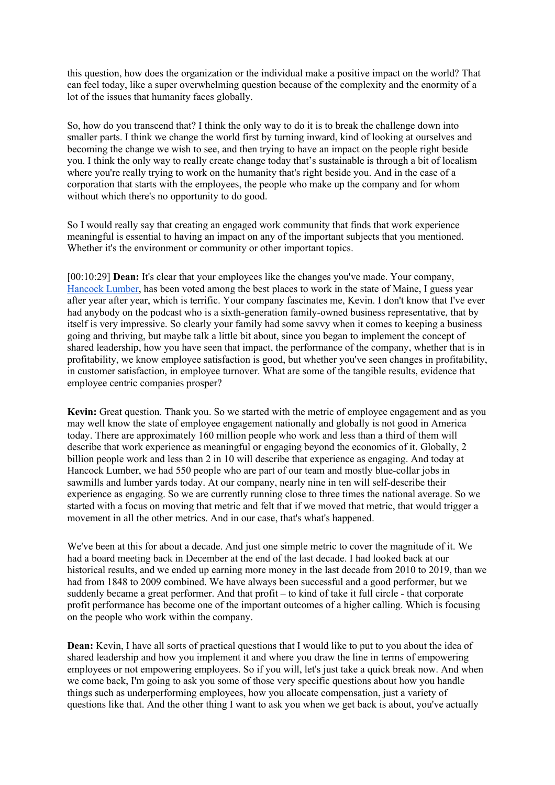this question, how does the organization or the individual make a positive impact on the world? That can feel today, like a super overwhelming question because of the complexity and the enormity of a lot of the issues that humanity faces globally.

So, how do you transcend that? I think the only way to do it is to break the challenge down into smaller parts. I think we change the world first by turning inward, kind of looking at ourselves and becoming the change we wish to see, and then trying to have an impact on the people right beside you. I think the only way to really create change today that's sustainable is through a bit of localism where you're really trying to work on the humanity that's right beside you. And in the case of a corporation that starts with the employees, the people who make up the company and for whom without which there's no opportunity to do good.

So I would really say that creating an engaged work community that finds that work experience meaningful is essential to having an impact on any of the important subjects that you mentioned. Whether it's the environment or community or other important topics.

[00:10:29] **Dean:** It's clear that your employees like the changes you've made. Your company, Hancock Lumber, has been voted among the best places to work in the state of Maine, I guess year after year after year, which is terrific. Your company fascinates me, Kevin. I don't know that I've ever had anybody on the podcast who is a sixth-generation family-owned business representative, that by itself is very impressive. So clearly your family had some savvy when it comes to keeping a business going and thriving, but maybe talk a little bit about, since you began to implement the concept of shared leadership, how you have seen that impact, the performance of the company, whether that is in profitability, we know employee satisfaction is good, but whether you've seen changes in profitability, in customer satisfaction, in employee turnover. What are some of the tangible results, evidence that employee centric companies prosper?

**Kevin:** Great question. Thank you. So we started with the metric of employee engagement and as you may well know the state of employee engagement nationally and globally is not good in America today. There are approximately 160 million people who work and less than a third of them will describe that work experience as meaningful or engaging beyond the economics of it. Globally, 2 billion people work and less than 2 in 10 will describe that experience as engaging. And today at Hancock Lumber, we had 550 people who are part of our team and mostly blue-collar jobs in sawmills and lumber yards today. At our company, nearly nine in ten will self-describe their experience as engaging. So we are currently running close to three times the national average. So we started with a focus on moving that metric and felt that if we moved that metric, that would trigger a movement in all the other metrics. And in our case, that's what's happened.

We've been at this for about a decade. And just one simple metric to cover the magnitude of it. We had a board meeting back in December at the end of the last decade. I had looked back at our historical results, and we ended up earning more money in the last decade from 2010 to 2019, than we had from 1848 to 2009 combined. We have always been successful and a good performer, but we suddenly became a great performer. And that profit – to kind of take it full circle - that corporate profit performance has become one of the important outcomes of a higher calling. Which is focusing on the people who work within the company.

**Dean:** Kevin, I have all sorts of practical questions that I would like to put to you about the idea of shared leadership and how you implement it and where you draw the line in terms of empowering employees or not empowering employees. So if you will, let's just take a quick break now. And when we come back, I'm going to ask you some of those very specific questions about how you handle things such as underperforming employees, how you allocate compensation, just a variety of questions like that. And the other thing I want to ask you when we get back is about, you've actually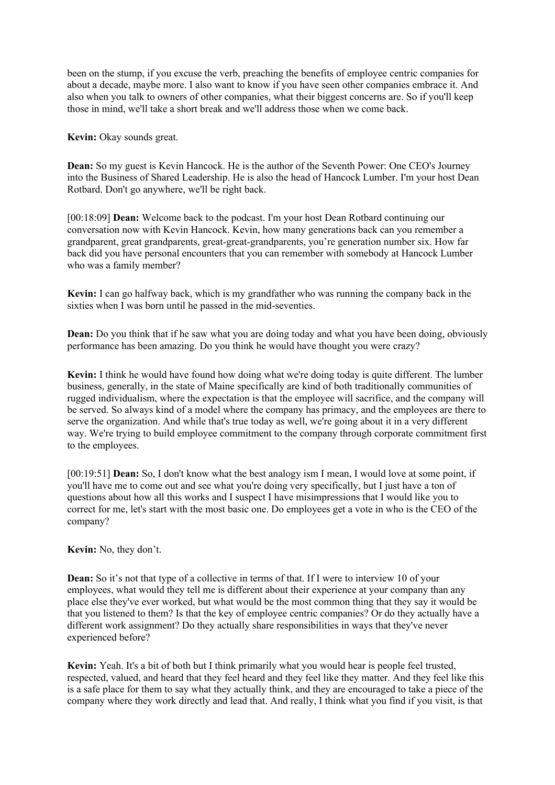been on the stump, if you excuse the verb, preaching the benefits of employee centric companies for about a decade, maybe more. I also want to know if you have seen other companies embrace it. And also when you talk to owners of other companies, what their biggest concerns are. So if you'll keep those in mind, we'll take a short break and we'll address those when we come back.

**Kevin:** Okay sounds great.

**Dean:** So my guest is Kevin Hancock. He is the author of the Seventh Power: One CEO's Journey into the Business of Shared Leadership. He is also the head of Hancock Lumber. I'm your host Dean Rotbard. Don't go anywhere, we'll be right back.

[00:18:09] **Dean:** Welcome back to the podcast. I'm your host Dean Rotbard continuing our conversation now with Kevin Hancock. Kevin, how many generations back can you remember a grandparent, great grandparents, great-great-grandparents, you're generation number six. How far back did you have personal encounters that you can remember with somebody at Hancock Lumber who was a family member?

**Kevin:** I can go halfway back, which is my grandfather who was running the company back in the sixties when I was born until he passed in the mid-seventies.

**Dean:** Do you think that if he saw what you are doing today and what you have been doing, obviously performance has been amazing. Do you think he would have thought you were crazy?

**Kevin:** I think he would have found how doing what we're doing today is quite different. The lumber business, generally, in the state of Maine specifically are kind of both traditionally communities of rugged individualism, where the expectation is that the employee will sacrifice, and the company will be served. So always kind of a model where the company has primacy, and the employees are there to serve the organization. And while that's true today as well, we're going about it in a very different way. We're trying to build employee commitment to the company through corporate commitment first to the employees.

[00:19:51] **Dean:** So, I don't know what the best analogy ism I mean, I would love at some point, if you'll have me to come out and see what you're doing very specifically, but I just have a ton of questions about how all this works and I suspect I have misimpressions that I would like you to correct for me, let's start with the most basic one. Do employees get a vote in who is the CEO of the company?

**Kevin:** No, they don't.

**Dean:** So it's not that type of a collective in terms of that. If I were to interview 10 of your employees, what would they tell me is different about their experience at your company than any place else they've ever worked, but what would be the most common thing that they say it would be that you listened to them? Is that the key of employee centric companies? Or do they actually have a different work assignment? Do they actually share responsibilities in ways that they've never experienced before?

**Kevin:** Yeah. It's a bit of both but I think primarily what you would hear is people feel trusted, respected, valued, and heard that they feel heard and they feel like they matter. And they feel like this is a safe place for them to say what they actually think, and they are encouraged to take a piece of the company where they work directly and lead that. And really, I think what you find if you visit, is that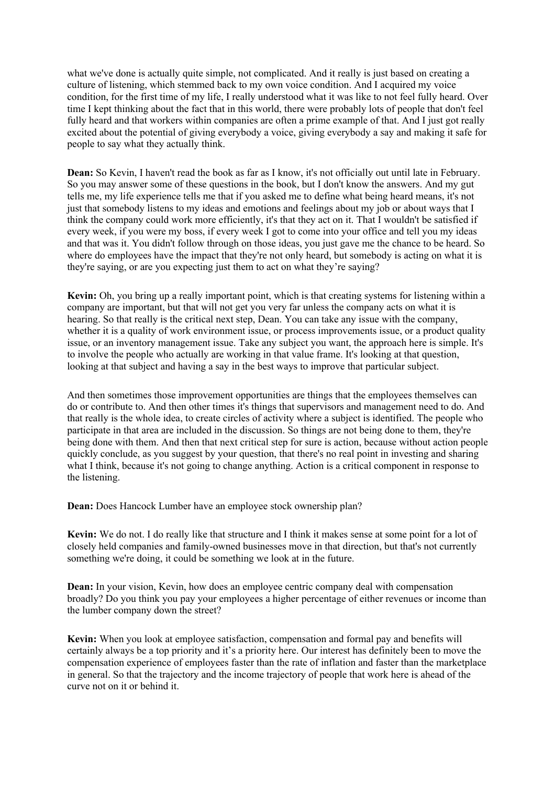what we've done is actually quite simple, not complicated. And it really is just based on creating a culture of listening, which stemmed back to my own voice condition. And I acquired my voice condition, for the first time of my life, I really understood what it was like to not feel fully heard. Over time I kept thinking about the fact that in this world, there were probably lots of people that don't feel fully heard and that workers within companies are often a prime example of that. And I just got really excited about the potential of giving everybody a voice, giving everybody a say and making it safe for people to say what they actually think.

**Dean:** So Kevin, I haven't read the book as far as I know, it's not officially out until late in February. So you may answer some of these questions in the book, but I don't know the answers. And my gut tells me, my life experience tells me that if you asked me to define what being heard means, it's not just that somebody listens to my ideas and emotions and feelings about my job or about ways that I think the company could work more efficiently, it's that they act on it. That I wouldn't be satisfied if every week, if you were my boss, if every week I got to come into your office and tell you my ideas and that was it. You didn't follow through on those ideas, you just gave me the chance to be heard. So where do employees have the impact that they're not only heard, but somebody is acting on what it is they're saying, or are you expecting just them to act on what they're saying?

**Kevin:** Oh, you bring up a really important point, which is that creating systems for listening within a company are important, but that will not get you very far unless the company acts on what it is hearing. So that really is the critical next step, Dean. You can take any issue with the company, whether it is a quality of work environment issue, or process improvements issue, or a product quality issue, or an inventory management issue. Take any subject you want, the approach here is simple. It's to involve the people who actually are working in that value frame. It's looking at that question, looking at that subject and having a say in the best ways to improve that particular subject.

And then sometimes those improvement opportunities are things that the employees themselves can do or contribute to. And then other times it's things that supervisors and management need to do. And that really is the whole idea, to create circles of activity where a subject is identified. The people who participate in that area are included in the discussion. So things are not being done to them, they're being done with them. And then that next critical step for sure is action, because without action people quickly conclude, as you suggest by your question, that there's no real point in investing and sharing what I think, because it's not going to change anything. Action is a critical component in response to the listening.

**Dean:** Does Hancock Lumber have an employee stock ownership plan?

**Kevin:** We do not. I do really like that structure and I think it makes sense at some point for a lot of closely held companies and family-owned businesses move in that direction, but that's not currently something we're doing, it could be something we look at in the future.

**Dean:** In your vision, Kevin, how does an employee centric company deal with compensation broadly? Do you think you pay your employees a higher percentage of either revenues or income than the lumber company down the street?

**Kevin:** When you look at employee satisfaction, compensation and formal pay and benefits will certainly always be a top priority and it's a priority here. Our interest has definitely been to move the compensation experience of employees faster than the rate of inflation and faster than the marketplace in general. So that the trajectory and the income trajectory of people that work here is ahead of the curve not on it or behind it.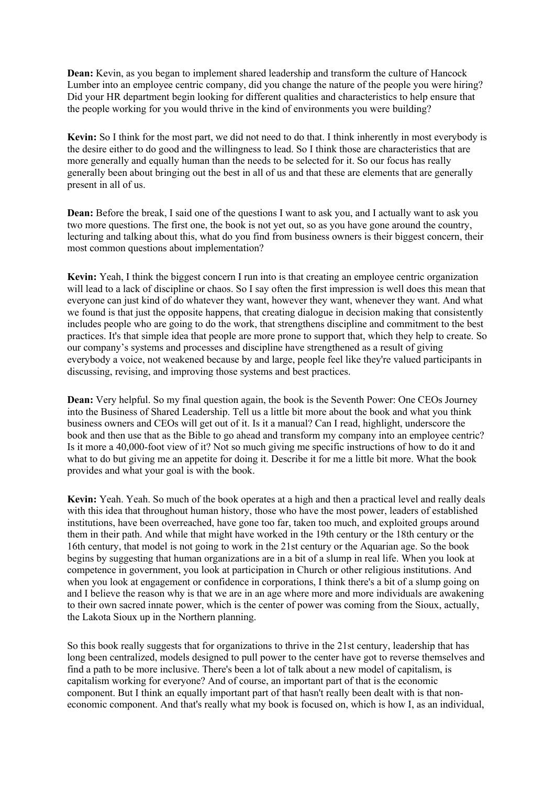**Dean:** Kevin, as you began to implement shared leadership and transform the culture of Hancock Lumber into an employee centric company, did you change the nature of the people you were hiring? Did your HR department begin looking for different qualities and characteristics to help ensure that the people working for you would thrive in the kind of environments you were building?

**Kevin:** So I think for the most part, we did not need to do that. I think inherently in most everybody is the desire either to do good and the willingness to lead. So I think those are characteristics that are more generally and equally human than the needs to be selected for it. So our focus has really generally been about bringing out the best in all of us and that these are elements that are generally present in all of us.

**Dean:** Before the break, I said one of the questions I want to ask you, and I actually want to ask you two more questions. The first one, the book is not yet out, so as you have gone around the country, lecturing and talking about this, what do you find from business owners is their biggest concern, their most common questions about implementation?

**Kevin:** Yeah, I think the biggest concern I run into is that creating an employee centric organization will lead to a lack of discipline or chaos. So I say often the first impression is well does this mean that everyone can just kind of do whatever they want, however they want, whenever they want. And what we found is that just the opposite happens, that creating dialogue in decision making that consistently includes people who are going to do the work, that strengthens discipline and commitment to the best practices. It's that simple idea that people are more prone to support that, which they help to create. So our company's systems and processes and discipline have strengthened as a result of giving everybody a voice, not weakened because by and large, people feel like they're valued participants in discussing, revising, and improving those systems and best practices.

**Dean:** Very helpful. So my final question again, the book is the Seventh Power: One CEOs Journey into the Business of Shared Leadership. Tell us a little bit more about the book and what you think business owners and CEOs will get out of it. Is it a manual? Can I read, highlight, underscore the book and then use that as the Bible to go ahead and transform my company into an employee centric? Is it more a 40,000-foot view of it? Not so much giving me specific instructions of how to do it and what to do but giving me an appetite for doing it. Describe it for me a little bit more. What the book provides and what your goal is with the book.

**Kevin:** Yeah. Yeah. So much of the book operates at a high and then a practical level and really deals with this idea that throughout human history, those who have the most power, leaders of established institutions, have been overreached, have gone too far, taken too much, and exploited groups around them in their path. And while that might have worked in the 19th century or the 18th century or the 16th century, that model is not going to work in the 21st century or the Aquarian age. So the book begins by suggesting that human organizations are in a bit of a slump in real life. When you look at competence in government, you look at participation in Church or other religious institutions. And when you look at engagement or confidence in corporations, I think there's a bit of a slump going on and I believe the reason why is that we are in an age where more and more individuals are awakening to their own sacred innate power, which is the center of power was coming from the Sioux, actually, the Lakota Sioux up in the Northern planning.

So this book really suggests that for organizations to thrive in the 21st century, leadership that has long been centralized, models designed to pull power to the center have got to reverse themselves and find a path to be more inclusive. There's been a lot of talk about a new model of capitalism, is capitalism working for everyone? And of course, an important part of that is the economic component. But I think an equally important part of that hasn't really been dealt with is that noneconomic component. And that's really what my book is focused on, which is how I, as an individual,